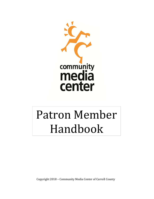

# Patron Member Handbook

Copyright 2018 - Community Media Center of Carroll County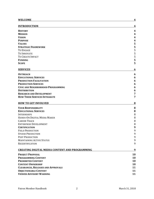# **WELCOME 4**

| <b>INTRODUCTION</b>                                   | 4      |
|-------------------------------------------------------|--------|
|                                                       |        |
| <b>HISTORY</b>                                        | 4      |
| <b>MISSION</b>                                        | 4      |
| <b>VISION</b>                                         | 4      |
| <b>PURPOSE</b>                                        | 4      |
| <b>VALUES</b>                                         | 5      |
| <b>STRATEGIC FRAMEWORK</b>                            | 5      |
| TO ENGAGE                                             | 5      |
| TO INNOVATE<br>TO CREATE IMPACT                       | 5      |
|                                                       | 5      |
| <b>FUNDING</b><br><b>SCOPE</b>                        | 5<br>5 |
|                                                       |        |
| <b>SERVICES</b>                                       | 6      |
| <b>OUTREACH</b>                                       | 6      |
| <b>EDUCATIONAL SERVICES</b>                           | 6      |
| <b>PRODUCTION FACILITATION</b>                        | 6      |
| <b>PRODUCTION SERVICES</b>                            | 6      |
| <b>CIVIC AND NEIGHBORHOOD PROGRAMMING</b>             | 6      |
| <b>DISTRIBUTION</b>                                   | 6      |
| <b>RESEARCH AND DEVELOPMENT</b>                       | 7      |
| <b>HOW THESE SERVICES INTEGRATE</b>                   | 7      |
| <b>HOW TO GET INVOLVED</b>                            | 8      |
| <b>YOUR RESPONSIBILITY</b>                            | 8      |
| <b>EDUCATIONAL SERVICES</b>                           | 8      |
| <b>INTERNSHIPS</b>                                    | 8      |
| HANDS-ON DIGITAL MEDIA MAKER                          | 8      |
| <b>CAREER TRACK</b>                                   | 8      |
| <b>ENTERPRISE DEVELOPMENT</b>                         | 8      |
| <b>CERTIFICATION</b>                                  | 9      |
| <b>FIELD PRODUCTION</b>                               | 9      |
| <b>STUDIO PRODUCTION</b>                              | 9      |
| POST PRODUCTION                                       | 9      |
| <b>MAINTAINING ACTIVE STATUS</b>                      | 9      |
| <b>RECERTIFICATION</b>                                | 9      |
| <b>CREATING DIGITAL MEDIA CONTENT AND PROGRAMMING</b> | 9      |
| <b>PROJECT PROPOSAL</b>                               | 10     |
| <b>PROGRAMMING CONTENT</b>                            | 10     |
| <b>PROHIBITED CONTENT</b>                             | 10     |
| <b>CONTENT OWNERSHIP</b>                              | 10     |
| <b>CLEARANCES, RELEASES AND APPROVALS</b>             | 11     |
| <b>OBJECTIONABLE CONTENT</b>                          | 11     |
| <b>VIEWER ADVISORY WARNING</b>                        | 11     |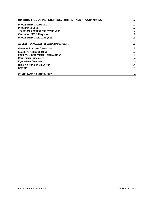| DISTRIBUTION OF DIGITAL MEDIA CONTENT AND PROGRAMMING | 12 |
|-------------------------------------------------------|----|
| <b>PROGRAMMING SUBMITTER</b>                          | 12 |
| <b>PROGRAM LENGTH</b>                                 | 12 |
| <b>TECHNICAL CONTENT AND STANDARDS</b>                | 12 |
| <b>CABLECAST/VOD REQUESTS</b>                         | 12 |
| <b>PROGRAMMING SERIES REQUESTS</b>                    | 13 |
| <b>ACCESS TO FACILITIES AND EQUIPMENT</b>             | 13 |
| <b>GENERAL RULES OF OPERATION</b>                     | 13 |
| <b>LIABILITY FOR EQUIPMENT</b>                        | 13 |
| <b>FACILITY &amp; EQUIPMENT RESERVATIONS</b>          | 13 |
| <b>EQUIPMENT CHECK-OUT</b>                            | 14 |
| <b>EQUIPMENT CHECK-IN</b>                             | 14 |
| <b>RESERVATION CANCELLATION</b>                       | 14 |
| <b>EDITING</b>                                        | 14 |
| <b>COMPLIANCE AGREEMENT</b>                           | 14 |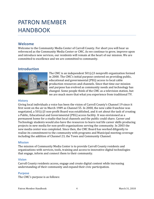# PATRON MEMBER HANDBOOK

# **Welcome**

Welcome to the Community Media Center of Carroll County. For short you will hear us referenced as the Community Media Center or CMC. As we continue to grow, improve upon and introduce new services, our residents will remain at the heart of our mission. We are committed to excellence and we are committed to community.

# **Introduction**



The CMC is an independent  $501(c)3$  nonprofit organization formed in 2000. The CMC's initial purpose centered on providing public, educational and governmental (PEG) access to local cable production resources and channels. Since that time our mission and purpose has evolved as community needs and technology has changed. Some people think of the CMC as a television station, but we are much more that what you experience from traditional TV.

#### **History**

Giving local individuals a voice has been the vision of Carroll County's Channel 19 since it first went on the air in March 1989 as Channel 55. In 2000, the new cable franchise was negotiated, a 501(c)3 non-profit Board was established, and it set about the task of creating a Public, Educational and Governmental (PEG) access facility. It was envisioned as a permanent home for a studio that local channels and the public could share. Career and Technology students would also have the resources to learn real life career skills producing projects in new media for non-profit organizations serving the community. In 2003 the new media center was completed. Since then, the CMC Board has worked diligently to realize its commitment to the community with programs and Municipal meeting coverage including the addition of Channel 23, the Town and Community Channel.

#### **Mission**

The mission of Community Media Center is to provide Carroll County residents and organizations with services, tools, training and access to innovative digital technologies that engage, inform and connect them to their community.

#### **Vision**

Carroll County residents access, engage and create digital content while increasing understanding of their community and expand their civic participation.

#### **Purpose**

The CMC's purpose is as follows: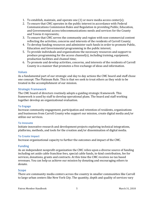- 1. To establish, maintain, and operate one  $(1)$  or more media access center(s);
- 2. To ensure that CMC operates in the public interest in accordance with Federal Communications Commission Rules and Regulation in providing Public, Education, and Governmental access telecommunications needs and services for the County and Towns it represents;
- 3. To ensure that CMC serves the community and region with non-commercial content reflecting the activities, concerns and interests of the residents of Carroll County;
- 4. To develop funding resources and administer such funds in order to promote Public, Education and Governmental programming in the public interest;
- 5. To provide individuals and organizations the necessary resources and support to produce programming for the access channel(s), including training, equipment, production facilities and channel time:
- 6. To promote and develop activities, concerns, and interests of the residents of Carroll County in a manner that promotes a free exchange of ideas and information.

#### **Values**

As a fundamental part of our strategic and day to day actions the CMC board and staff chose one concept: The Platinum Rule. This is that we seek to treat others as they wish to be treated in the accomplishment of our mission.

#### **Strategic Framework**

The CMC board of directors routinely adopts a guiding strategic framework. This framework is used by staff to develop operational plans. The board and staff working together develop an organizational evaluation.

#### **To Engage**

Increase community engagement, participation and retention of residents, organizations and businesses from Carroll County who support our mission, create digital media and/or utilize our services.

#### **To'Innovate**

Initiate innovative research and development projects exploring technical integrations, platforms, methods, and tools for the creation and/or dissemination of digital media.

#### **To Create Impact**

Increase organizational capacity to further the outcomes and impact of the CMC.

#### **Funding**

As an independent nonprofit organization the CMC relies upon a diverse source of funding including set aside cable franchise fees, special cable funds, in-kind contribution, fee for services, donations, grants and contracts. At this time the CMC receives no tax based revenues. You can help us achieve our mission by donating and encouraging others to donate.

#### **Scope**

There are community media centers across the country in smaller communities like Carroll to large urban centers like New York City. The quantity, depth and quality of services vary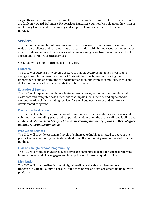as greatly as the communities. In Carroll we are fortunate to have this level of services not available in Howard, Baltimore, Frederick or Lancaster counties. We rely upon the vision of our County leaders and the advocacy and support of our residents to help sustain our mission.

# **Services**

The CMC offers a number of programs and services focused on achieving our mission to a wide array of clients and customers. As an organization with limited resources we strive to create a balance among these services while maintaining prioritization and service level agreements for more critical services.

What follows is a nonprioritized list of services.

#### **Outreach**

The CMC will outreach into diverse sectors of Carroll County leading to a measurable change in reputation, reach and impact. This will be done by communicating the importance of and encouraging the participation in public interest community media and digital content creation that expands the public sphere.

#### **Educational'Services**

The CMC will implement modular client-centered classes, workshops and seminars via classroom and computer based methods that impart media literacy and digital media content creation skills, including services for small business, career and workforce development programs.

#### **Production Facilitation**

The CMC will facilitate the production of community media through the extensive use of volunteers by providing graduated support dependent upon the user's skill, availability and aptitude. As Patron Members you have an increasing number of options in this category *detailed later in this handbook.* 

#### **Production Services**

The CMC will provide customized levels of enhanced to highly facilitated support in the production of community media dependent upon the community need or level of provided funding.

#### **Civic'and'Neighborhood'Programming**

The CMC will produce municipal event coverage, informational and topical programming intended to expand civic engagement, local pride and improved quality of life.

#### **Distribution**

The CMC will provide distribution of digital media via all cable services subject to a franchise in Carroll County, a parallel web-based portal, and explore emerging IP delivery platforms.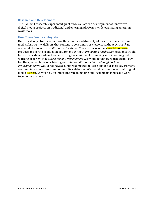#### **Research'and'Development**

The CMC will research, experiment, pilot and evaluate the development of innovative digital media projects on traditional and emerging platforms while evaluating emerging work tools.

#### **How These Services Integrate**

Our overall objective is to increase the number and diversity of local voices in electronic media. *Distribution* delivers that content to consumers or viewers. Without Outreach no one would know we exist. Without *Educational Services* our residents would not how to produce or operate production equipment. Without *Production Facilitation* residents would have no assistance when it came to using the equipment or making sure it was in good working order. Without *Research and Development* we would not know which technology has the greatest hope of achieving our mission. Without *Civic and Neighborhood Programming* we would not have a supported method to learn about our local government, community issues or how our community celebrates. We would become a electronic digital media dessert. So you play an important role in making our local media landscape work together as a whole.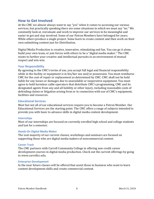# **How to Get Involved**

At the CMC we almost always want to say "yes" when it comes to accessing our various services, but practically speaking there are some situations in which we must say "no." We constantly look at, reevaluate and work to improve our services to be meaningful and easier to get and stay involved. Some of our Patron Members have belonged for years. While others produce a single project. Some learn to create content and then work on their own submitting content just for Distribution.

Digital Media Production is creative, innovative, stimulating and fun. You can go it alone, build your own team, or join forces with others to be a "digital media maker." The CMC wants to further your creative and intellectual pursuits in an environment of mutual respect and win-win.

#### Your Responsibility

By agreeing to the CMC's terms of use, you accept full legal and financial responsibility while in the facility or equipment is in his/her use and/or possession. You must reimburse CMC for the cost of repair or replacement as determined by CMC. CMC shall not be held liable for any losses or damages due to unavailable or inoperative equipment. You must agree to hold harmless cable operators that distribute CMC's programming, CMC and its designated agents from any and all liability or other injury, including reasonable costs of defending claims or litigation arising from or in connection with use of CMC's equipment, facilities and resources.

#### **Educational'Services**

Most but not all of our educational services require you to become a Patron Member. Our Educational Services are the starting point. The CMC offers a range of subjects intended to provide you with basic to advance skills in digital media content development.

#### **Internships**

Most of our internships are focused on currently enrolled high school and college students and last for a semester.

#### **Hands-On Digital Media Maker**

The vast majority of our current classes, workshops and seminars are focused on supporting those who are digital media makers of noncommercial content.

#### **Career Track**

The CMC partners with Carroll Community College in offering non-credit career development courses in digital media production. Check out the current offerings by going to www.carrollcc.edu.

#### **Enterprise Development**

In the near future classes will be offered that assist those in business who want to learn content development skills and create commercial content.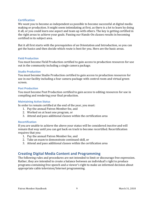#### **Certification**

We want you to become as independent as possible to become successful at digital media making or production. It might seem intimidating at first, as there is a lot to learn by doing it all, or you could learn one aspect and team up with others. The key is getting certified in the right areas to achieve your goals. Passing our Hands-On classes results in becoming certified in its subject area.

But it all first starts with the prerequisites of an Orientation and Introduction, so you can get the basics and then decide which route is best for you. Here are the basic areas.

#### **Field'Production**

You must become Field Production certified to gain access to production resources for use out in the community including a single camera package.

#### **Studio Production**

You must become Studio Production certified to gain access to production resources for use in our facility including a four camera package with control room and virtual green screen.

#### **Post Production**

You must become Post Production certified to gain access to editing resources for use in compiling and rendering your final production.

#### **Maintaining Active Status**

In order to remain certified at the end of the year, you must:

- 1. Pay the annual Patron Member fee, and
- 2. Worked on at least one program, or
- 3. Attend and pass additional classes within the certification area

#### **Recertification**

If you are unable to achieve the above your status will be considered *inactive* and will remain that way until you can get back on track to become recertified. Recertification requires that you:

- 1. Pay the annual Patron Member fee, and
- 2. Take an exam to demonstrate continued skill, or
- 3. Attend and pass additional classes within the certification area

# **Creating'Digital'Media'Content and'Programming**

The following rules and procedures are not intended to limit or discourage free expression. Rather, they are intended to create a balance between an individual's right to produce programs containing free speech and a viewer's right to make an informed decision about appropriate cable television/Internet programming.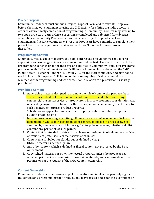#### **Project Proposal**

Community Producers must submit a Project Proposal Form and receive staff approval before checking out equipment or using the CMC facility for editing or studio access. In order to assure timely completion of programming, a Community Producer may have up to two open projects at a time. Once a program is completed and submitted for cablecast scheduling, a Community Producer can submit a new project proposal, check out equipment, and reserve editing time. First time Producers have 6 months to complete their project from the day equipment is taken out and then 3 months for every project thereafter.

#### **Programming Content**

Community media is meant to serve the public interest as a forum for free and diverse expression and exchange of ideas in a non-commercial context. The specific nature of the programming depends upon the interests and abilities of Community Producers. Programs produced with CMC equipment and/or facilities are intended for cablecast on the CMC Public Access TV channel, and/or CMC Web VOD, for the local community and may not be used in for-profit purposes. Solicitation of funds or anything of value by individuals, whether within programming and web content or in relation to a production, is strictly prohibited.

#### **Prohibited'Content**

- 1. Advertising material designed to promote the sale of commercial products by a specific or implied call to action nor include audio or visual reference to any commercial business, service, or product for which any economic consideration was received by anyone in exchange for the display, announcement and/or reference to such business, enterprise, product or service;
- 2. Solicitation or appeal for funds or other property or items of value, except for  $501(c)3$  organizations;
- 3. Information concerning any lottery, gift enterprise or similar scheme, offering prizes dependent in whole or in part upon lot or chance, or any list of prizes drawn or awarded by means of any such lottery, gift enterprise or scheme, whether said list contains any part or all of such prizes;
- 4. Content that is intended to defraud the viewer or designed to obtain money by false or fraudulent pretenses, representations or promises;
- 5. Content that is libelous or slanderous as defined by law;
- 6. Obscene matter as defined by law;
- 7. Any other content which is defined as illegal content not protected by the First Amendment.
- 8. Copyrighted materials or other intellectual property, unless the producer has obtained prior written permission to use said materials, and can provide written permissions at the request of the CMC. Content Ownership

#### **Content Ownership**

Community Producers retain ownership of the creative and intellectual property rights to the content and programming they produce, and may register and establish a copyright or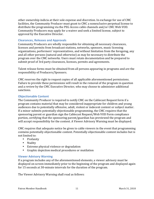other ownership indicia at their sole expense and discretion. In exchange for use of CMC facilities, the Community Producer must grant to CMC a nonexclusive perpetual license to distribute the programming via the PEG Access cable channels and/or CMC Web VOD. Community Producers may apply for a waiver and seek a limited license, subject to approval by the Executive Director.

#### **Clearances, Releases and Approvals**

Community Producers are wholly responsible for obtaining all necessary clearances, licenses and permits from broadcast stations, networks, sponsors, music licensing organizations, performers' representatives, and without limitation from the foregoing, any and all other persons (natural and otherwise) as may be necessary to distribute the program over the CMC networks. Users must retain documentation and be prepared to submit proof of 3rd party clearances, licenses, permits and agreements.

Talent release forms must be obtained from all persons appearing in programs and are the responsibility of Producers/Sponsors.

CMC reserves the right to request copies of all applicable aforementioned permissions. Failure to provide these permissions will result in the removal of the program in question and a review by the CMC Executive Director, who may choose to administer additional sanctions.

# **Objectionable Content**

The Community Producer is required to notify CMC on the Cablecast Request form if a program contains material that may be considered inappropriate for children and young audiences due to potentially offensive, adult, violent or indecent content or subject matter. If a minor submits potentially objectionable programming, the CMC requires that the sponsoring parent or guardian sign the Cablecast Request/Web VOD Form compliance portion, certifying that the sponsoring parent/guardian has previewed the program and will accept responsibility for the content. A Viewer Advisory Warning must be displayed.

CMC requires that adequate notice be given to cable viewers in the event that programming contains potentially objectionable content. Potentially objectionable content includes but is not limited to:

- Profanity
- Nudity
- Extreme physical violence or degradation
- Graphic depiction medical procedures or mutilation

#### **Viewer Advisory Warning**

If a program includes any of the aforementioned elements, a viewer advisory must be displayed on screen immediately prior to the beginning of the program and displayed again for 15 seconds at 30-minute intervals for the duration of the program.

The Viewer Advisory Warning shall read as follows: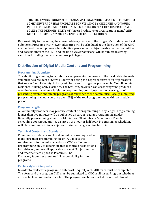THE FOLLOWING PROGRAM CONTAINS MATERIAL WHICH MAY BE OFFENSIVE TO SOME VIEWERS OR INAPPROPRIATE FOR VIEWING BY CHILDREN AND YOUNG PEOPLE. VIEWER DISCRETION IS ADVISED. THE CONTENT OF THIS PROGRAM IS SOLELY THE RESPONSIBILITY OF (insert Producer's or organizations name) AND NOT THE COMMUNITY MEDIA CENTER OF CARROLL COUNTY.

Responsibility for including the viewer advisory rests with the program's Producer or local Submitter. Programs with viewer advisories will be scheduled at the discretion of the CMC staff. A Producer or Sponsor who submits a program with objectionable content as outlined and does not inform the CMC and include a viewer advisory, will be subject to strong sanctions including the permanent loss privileges.

# **Distribution'of'Digital'Media'Content'and'Programming**

# **Programming Submitter**

To submit programming for a public access presentation on one of the local cable channels you must be a resident of Carroll County or acting as a representative of an organization that serves Carroll County. Priority will be given to programs produced by Carroll County residents utilizing CMC's facilities. The CMC can, however, cablecast programs produced outside the county when it is felt the programming contributes to the overall goal of presenting diverse and timely programs of relevance to the community. Locally submitted programming shall not comprise over 25% of the total programming within a scheduled period.

# **Program'Length'**

A Community Producer may produce content or programming of any length. Programming longer than two minutes will be published as part of regular programming guides. Generally programming should be 14 minutes, 28 minutes or 58 minutes. The CMC scheduling does not guarantee a start on the hour or half hour. Programming scheduling will place content within or adjacent to similar programming by topic.

# **Technical'Content'and'Standards**

Community Producers and Local Submitters are required to make sure their programming file or DVD meets the requirements for technical standards. CMC staff screens programming only to determine that technical specifications for cablecast, and web if applicable, are met. Subject matter and treatment are up to the Producer. The Producer/Submitter assumes full responsibility for their programs.



# **Cablecast/VOD'Requests**

In order to cablecast a program, a Cablecast Request/Web VOD form must be completed. This form and the program DVD must be submitted to CMC in all cases. Program schedules are available online and at the CMC. The program can be submitted for one additional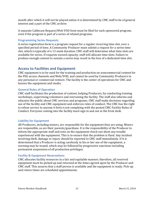month after which it will not be played unless it is determined by CMC staff to be of general interest and a part of the CMC archive.

A separate Cablecast Request/Web VOD form must be filed for each sponsored program, even if the program is part of a series of related programs.

#### **Programming Series Requests**

A series registration form is a program request for a regular recurring time slot, over a specified period of time. A Community Producer must submit a request for a series time slot, which is typically of a 13 week duration. CMC staff will determine what time slots are available for series. If requests exceed capacity, staff will allocate time slots. Failure to produce enough content to sustain a series may result in the loss of a dedicated time slot.

# Access to Facilities and Equipment

CMC equipment is to be used for the training and production on noncommercial content for the PEG access channels and Web/VOD, and cannot be used by Community Producers in any personal or commercial venture. The facility is the center of operations for CMC and houses the equipment and studio.

# **General Rules of Operation**

CMC staff facilitates the production of content, helping Producers, by conducting training workshops, supervising volunteers and overseeing the facility. The staff also informs and educates the public about CMC services and programs. CMC staff make decisions regarding use of the facility and CMC equipment and enforces rules of conduct. The CMC has the right to refuse service to anyone it feels is not complying with the posted CMC Facility Rules of Conduct. Everyone coming into the facility must sign in and out at the front desk.

# **Liability for Equipment**

All Producers, including minors, are responsible for the equipment they are using. Minors are responsible, as are their parents/guardians. It is the responsibility of the Producer to inform the appropriate staff and note on the equipment check-out sheet any trouble experienced with the equipment. This is to ensure that the problem is fixed. Any incident involving theft, damage or injury should be reported to CMC staff immediately. If it is determined that a Producer is acting carelessly in his or her use of the equipment, a warning may be issued, which may be followed by progressive sanctions including permanent suspension of all production privileges.

#### **Facility & Equipment Reservations**

CMC allocates facility resources in a fair and equitable manner; therefore, all reserved equipment must be picked up and returned at the times agreed upon by the Producer and CMC staff. This assures that a staff person is available and the equipment is ready. Pick-up and return times are scheduled appointments.